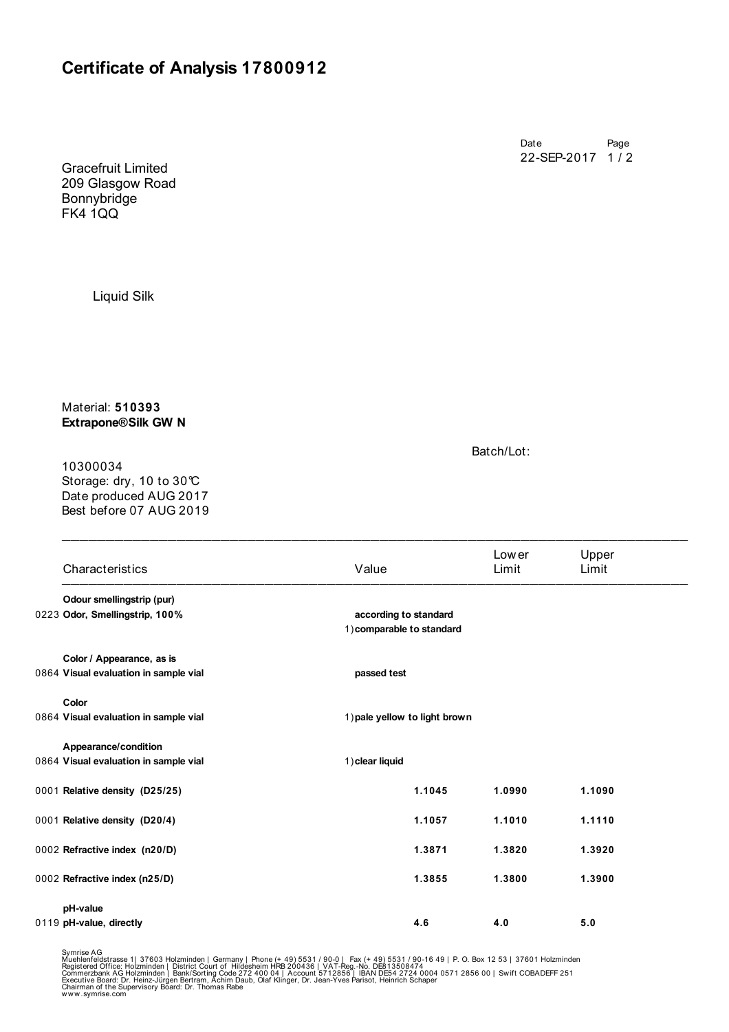## **Certificate of Analysis 17800912**

Date Page 22-SEP-2017 1 / 2

Gracefruit Limited 209 Glasgow Road Bonnybridge FK4 1QQ

Liquid Silk

Material: **510393 Extrapone® Silk GW N** 

10300034

Storage: dry, 10 to 30°C Date produced AUG 2017 Best before 07 AUG 2019 Batch/Lot:

|  | Characteristics                       | Value                                              | Low er<br>Limit | Upper<br>Limit |  |
|--|---------------------------------------|----------------------------------------------------|-----------------|----------------|--|
|  | Odour smellingstrip (pur)             |                                                    |                 |                |  |
|  | 0223 Odor, Smellingstrip, 100%        | according to standard<br>1) comparable to standard |                 |                |  |
|  | Color / Appearance, as is             |                                                    |                 |                |  |
|  | 0864 Visual evaluation in sample vial | passed test                                        |                 |                |  |
|  | Color                                 |                                                    |                 |                |  |
|  | 0864 Visual evaluation in sample vial | 1) pale yellow to light brown                      |                 |                |  |
|  | Appearance/condition                  |                                                    |                 |                |  |
|  | 0864 Visual evaluation in sample vial | 1) clear liquid                                    |                 |                |  |
|  | 0001 Relative density (D25/25)        | 1.1045                                             | 1.0990          | 1.1090         |  |
|  | 0001 Relative density (D20/4)         | 1.1057                                             | 1.1010          | 1.1110         |  |
|  | 0002 Refractive index (n20/D)         | 1.3871                                             | 1.3820          | 1.3920         |  |
|  | 0002 Refractive index (n25/D)         | 1.3855                                             | 1.3800          | 1.3900         |  |
|  | pH-value                              |                                                    |                 |                |  |
|  | 0119 pH-value, directly               | 4.6                                                | 4.0             | 5.0            |  |

 $\_$  , and the contribution of the contribution of  $\mathcal{L}_\mathcal{A}$  , and the contribution of  $\mathcal{L}_\mathcal{A}$ 

Symrise AG<br>Muehlenfeldstrasse 1| 37603 Holzminden | Germany | Phone (+ 49) 5531 / 90-0 | Fax (+ 49) 5531 / 90-16 49 | P. O. Box 12 53 | 37601 Holzminden<br>Registered Office: Holzminden | District Court of Hildesheim HRB 2004